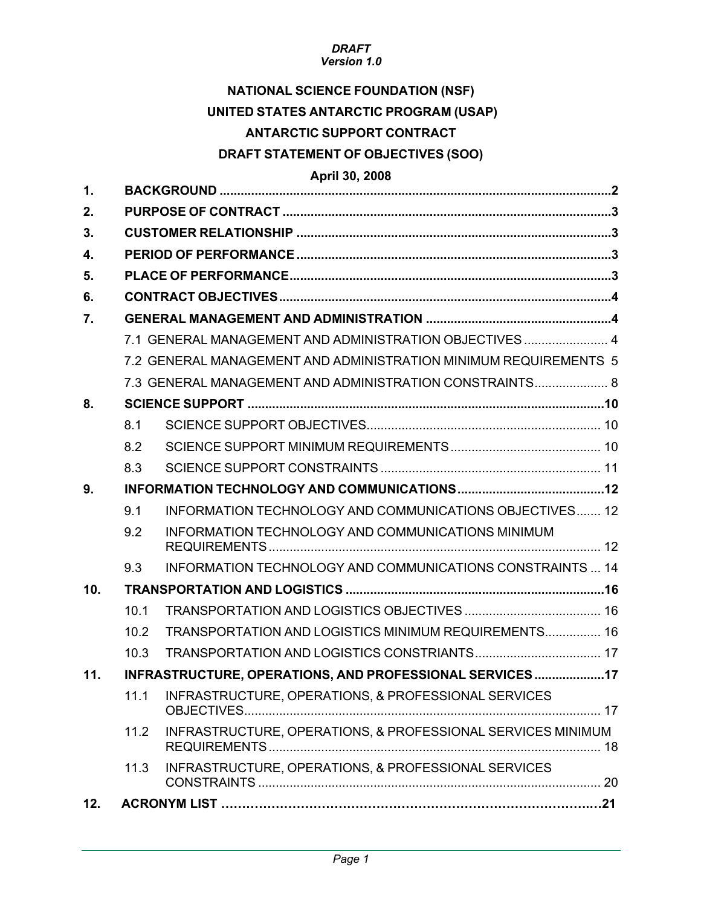## *DRAFT*

### *Version 1.0*

## **NATIONAL SCIENCE FOUNDATION (NSF) UNITED STATES ANTARCTIC PROGRAM (USAP)**

## **ANTARCTIC SUPPORT CONTRACT**

### **DRAFT STATEMENT OF OBJECTIVES (SOO)**

### **April 30, 2008**

| $\mathbf{1}$ |                                                         |                                                                  |
|--------------|---------------------------------------------------------|------------------------------------------------------------------|
| 2.           |                                                         |                                                                  |
| 3.           |                                                         |                                                                  |
| 4.           |                                                         |                                                                  |
| 5.           |                                                         |                                                                  |
| 6.           |                                                         |                                                                  |
| 7.           |                                                         |                                                                  |
|              |                                                         | 7.1 GENERAL MANAGEMENT AND ADMINISTRATION OBJECTIVES 4           |
|              |                                                         | 7.2 GENERAL MANAGEMENT AND ADMINISTRATION MINIMUM REQUIREMENTS 5 |
|              |                                                         | 7.3 GENERAL MANAGEMENT AND ADMINISTRATION CONSTRAINTS 8          |
| 8.           |                                                         |                                                                  |
|              | 8.1                                                     |                                                                  |
|              | 8.2                                                     |                                                                  |
|              | 8.3                                                     |                                                                  |
| 9.           |                                                         |                                                                  |
|              | 9.1                                                     | INFORMATION TECHNOLOGY AND COMMUNICATIONS OBJECTIVES 12          |
|              | 9.2                                                     | <b>INFORMATION TECHNOLOGY AND COMMUNICATIONS MINIMUM</b>         |
|              | 9.3                                                     | INFORMATION TECHNOLOGY AND COMMUNICATIONS CONSTRAINTS  14        |
| 10.          |                                                         |                                                                  |
|              | 10.1                                                    |                                                                  |
|              | 10.2                                                    | TRANSPORTATION AND LOGISTICS MINIMUM REQUIREMENTS 16             |
|              | 10.3                                                    |                                                                  |
| 11.          | INFRASTRUCTURE, OPERATIONS, AND PROFESSIONAL SERVICES17 |                                                                  |
|              |                                                         | 11.1 INFRASTRUCTURE, OPERATIONS, & PROFESSIONAL SERVICES         |
|              | 11.2                                                    | INFRASTRUCTURE, OPERATIONS, & PROFESSIONAL SERVICES MINIMUM      |
|              | 11.3                                                    | INFRASTRUCTURE, OPERATIONS, & PROFESSIONAL SERVICES              |
| 12.          |                                                         |                                                                  |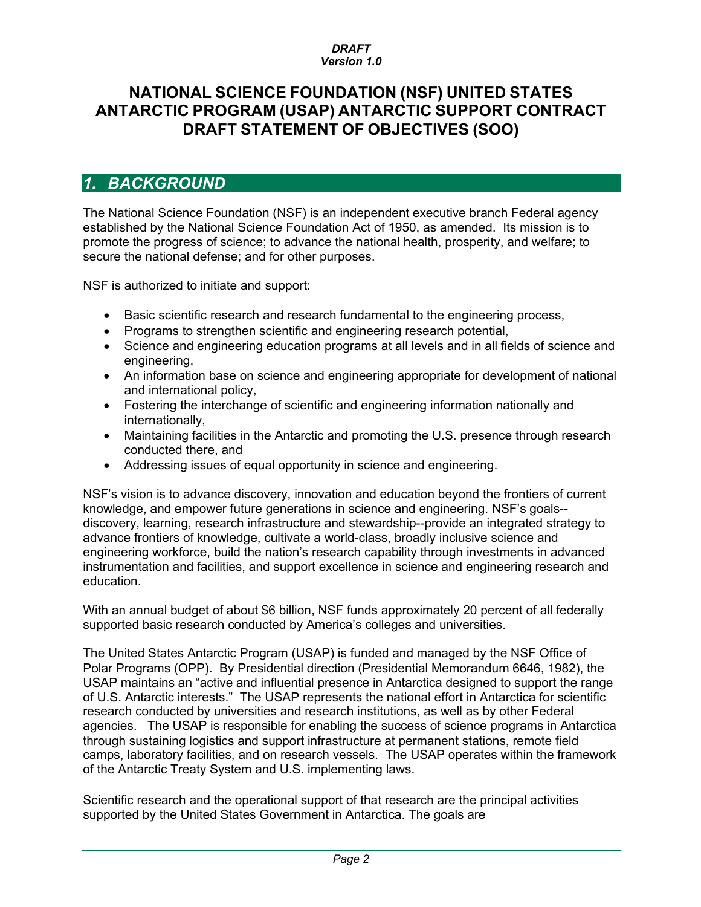## **NATIONAL SCIENCE FOUNDATION (NSF) UNITED STATES ANTARCTIC PROGRAM (USAP) ANTARCTIC SUPPORT CONTRACT DRAFT STATEMENT OF OBJECTIVES (SOO)**

## *1. BACKGROUND*

The National Science Foundation (NSF) is an independent executive branch Federal agency established by the National Science Foundation Act of 1950, as amended. Its mission is to promote the progress of science; to advance the national health, prosperity, and welfare; to secure the national defense; and for other purposes.

NSF is authorized to initiate and support:

- Basic scientific research and research fundamental to the engineering process,
- Programs to strengthen scientific and engineering research potential,
- Science and engineering education programs at all levels and in all fields of science and engineering.
- An information base on science and engineering appropriate for development of national and international policy,
- Fostering the interchange of scientific and engineering information nationally and internationally,
- Maintaining facilities in the Antarctic and promoting the U.S. presence through research conducted there, and
- Addressing issues of equal opportunity in science and engineering.

NSF's vision is to advance discovery, innovation and education beyond the frontiers of current knowledge, and empower future generations in science and engineering. NSF's goals- discovery, learning, research infrastructure and stewardship--provide an integrated strategy to advance frontiers of knowledge, cultivate a world-class, broadly inclusive science and engineering workforce, build the nation's research capability through investments in advanced instrumentation and facilities, and support excellence in science and engineering research and education.

With an annual budget of about \$6 billion, NSF funds approximately 20 percent of all federally supported basic research conducted by America's colleges and universities.

The United States Antarctic Program (USAP) is funded and managed by the NSF Office of Polar Programs (OPP). By Presidential direction (Presidential Memorandum 6646, 1982), the USAP maintains an "active and influential presence in Antarctica designed to support the range of U.S. Antarctic interests." The USAP represents the national effort in Antarctica for scientific research conducted by universities and research institutions, as well as by other Federal agencies. The USAP is responsible for enabling the success of science programs in Antarctica through sustaining logistics and support infrastructure at permanent stations, remote field camps, laboratory facilities, and on research vessels. The USAP operates within the framework of the Antarctic Treaty System and U.S. implementing laws.

Scientific research and the operational support of that research are the principal activities supported by the United States Government in Antarctica. The goals are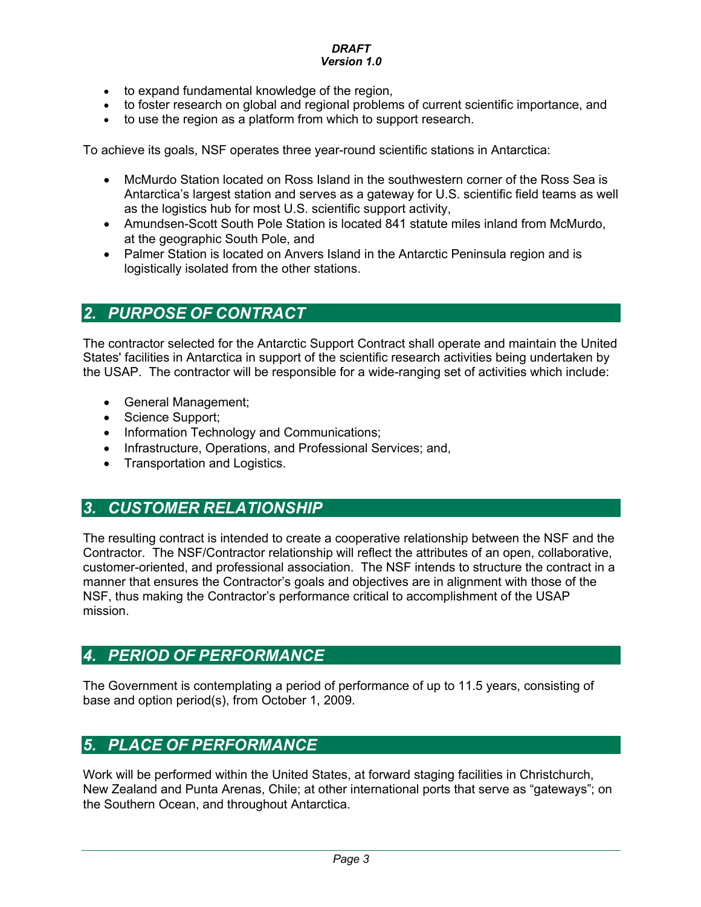- to expand fundamental knowledge of the region,
- to foster research on global and regional problems of current scientific importance, and
- to use the region as a platform from which to support research.

To achieve its goals, NSF operates three year-round scientific stations in Antarctica:

- McMurdo Station located on Ross Island in the southwestern corner of the Ross Sea is Antarctica's largest station and serves as a gateway for U.S. scientific field teams as well as the logistics hub for most U.S. scientific support activity,
- Amundsen-Scott South Pole Station is located 841 statute miles inland from McMurdo, at the geographic South Pole, and
- Palmer Station is located on Anvers Island in the Antarctic Peninsula region and is logistically isolated from the other stations.

## *2. PURPOSE OF CONTRACT*

The contractor selected for the Antarctic Support Contract shall operate and maintain the United States' facilities in Antarctica in support of the scientific research activities being undertaken by the USAP. The contractor will be responsible for a wide-ranging set of activities which include:

- General Management;
- Science Support:
- Information Technology and Communications;
- Infrastructure, Operations, and Professional Services; and,
- Transportation and Logistics.

## *3. CUSTOMER RELATIONSHIP*

The resulting contract is intended to create a cooperative relationship between the NSF and the Contractor. The NSF/Contractor relationship will reflect the attributes of an open, collaborative, customer-oriented, and professional association. The NSF intends to structure the contract in a manner that ensures the Contractor's goals and objectives are in alignment with those of the NSF, thus making the Contractor's performance critical to accomplishment of the USAP mission.

## *4. PERIOD OF PERFORMANCE*

The Government is contemplating a period of performance of up to 11.5 years, consisting of base and option period(s), from October 1, 2009.

## *5. PLACE OF PERFORMANCE*

Work will be performed within the United States, at forward staging facilities in Christchurch, New Zealand and Punta Arenas, Chile; at other international ports that serve as "gateways"; on the Southern Ocean, and throughout Antarctica.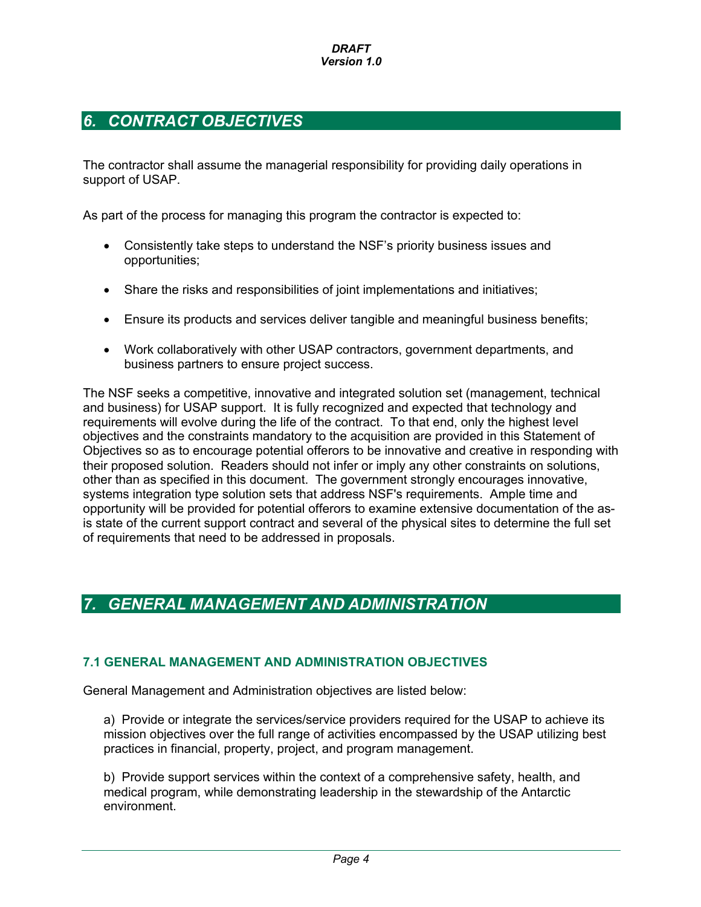# *6. CONTRACT OBJECTIVES*

The contractor shall assume the managerial responsibility for providing daily operations in support of USAP.

As part of the process for managing this program the contractor is expected to:

- Consistently take steps to understand the NSF's priority business issues and opportunities;
- Share the risks and responsibilities of joint implementations and initiatives;
- Ensure its products and services deliver tangible and meaningful business benefits;
- Work collaboratively with other USAP contractors, government departments, and business partners to ensure project success.

The NSF seeks a competitive, innovative and integrated solution set (management, technical and business) for USAP support. It is fully recognized and expected that technology and requirements will evolve during the life of the contract. To that end, only the highest level objectives and the constraints mandatory to the acquisition are provided in this Statement of Objectives so as to encourage potential offerors to be innovative and creative in responding with their proposed solution. Readers should not infer or imply any other constraints on solutions, other than as specified in this document. The government strongly encourages innovative, systems integration type solution sets that address NSF's requirements. Ample time and opportunity will be provided for potential offerors to examine extensive documentation of the asis state of the current support contract and several of the physical sites to determine the full set of requirements that need to be addressed in proposals.

## *7. GENERAL MANAGEMENT AND ADMINISTRATION*

### **7.1 GENERAL MANAGEMENT AND ADMINISTRATION OBJECTIVES**

General Management and Administration objectives are listed below:

a) Provide or integrate the services/service providers required for the USAP to achieve its mission objectives over the full range of activities encompassed by the USAP utilizing best practices in financial, property, project, and program management.

b) Provide support services within the context of a comprehensive safety, health, and medical program, while demonstrating leadership in the stewardship of the Antarctic environment.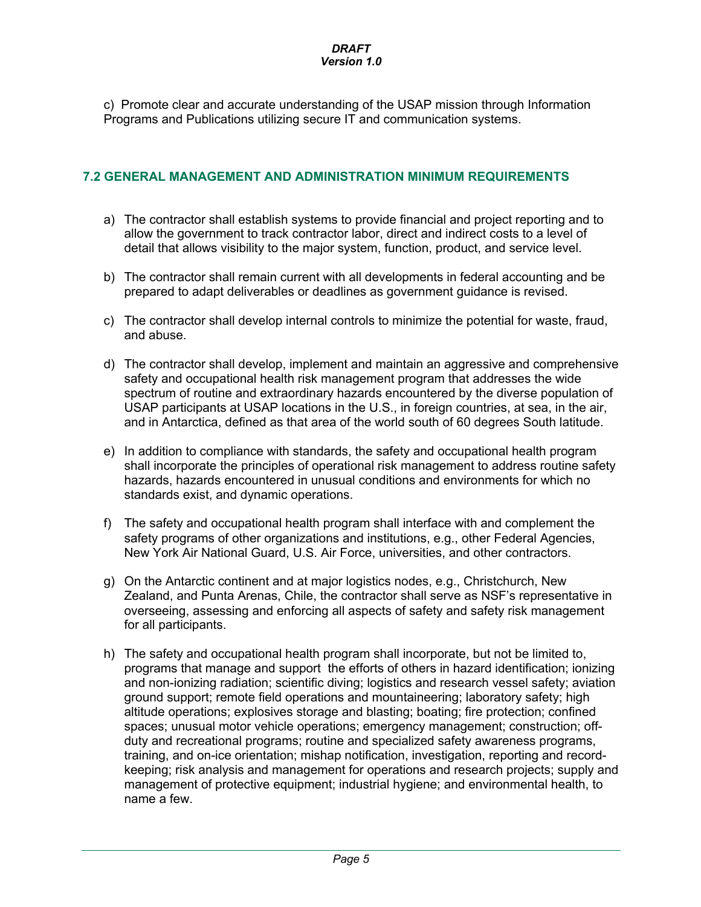c) Promote clear and accurate understanding of the USAP mission through Information Programs and Publications utilizing secure IT and communication systems.

### **7.2 GENERAL MANAGEMENT AND ADMINISTRATION MINIMUM REQUIREMENTS**

- a) The contractor shall establish systems to provide financial and project reporting and to allow the government to track contractor labor, direct and indirect costs to a level of detail that allows visibility to the major system, function, product, and service level.
- b) The contractor shall remain current with all developments in federal accounting and be prepared to adapt deliverables or deadlines as government guidance is revised.
- c) The contractor shall develop internal controls to minimize the potential for waste, fraud, and abuse.
- d) The contractor shall develop, implement and maintain an aggressive and comprehensive safety and occupational health risk management program that addresses the wide spectrum of routine and extraordinary hazards encountered by the diverse population of USAP participants at USAP locations in the U.S., in foreign countries, at sea, in the air, and in Antarctica, defined as that area of the world south of 60 degrees South latitude.
- e) In addition to compliance with standards, the safety and occupational health program shall incorporate the principles of operational risk management to address routine safety hazards, hazards encountered in unusual conditions and environments for which no standards exist, and dynamic operations.
- f) The safety and occupational health program shall interface with and complement the safety programs of other organizations and institutions, e.g., other Federal Agencies, New York Air National Guard, U.S. Air Force, universities, and other contractors.
- g) On the Antarctic continent and at major logistics nodes, e.g., Christchurch, New Zealand, and Punta Arenas, Chile, the contractor shall serve as NSF's representative in overseeing, assessing and enforcing all aspects of safety and safety risk management for all participants.
- h) The safety and occupational health program shall incorporate, but not be limited to, programs that manage and support the efforts of others in hazard identification; ionizing and non-ionizing radiation; scientific diving; logistics and research vessel safety; aviation ground support; remote field operations and mountaineering; laboratory safety; high altitude operations; explosives storage and blasting; boating; fire protection; confined spaces; unusual motor vehicle operations; emergency management; construction; offduty and recreational programs; routine and specialized safety awareness programs, training, and on-ice orientation; mishap notification, investigation, reporting and recordkeeping; risk analysis and management for operations and research projects; supply and management of protective equipment; industrial hygiene; and environmental health, to name a few.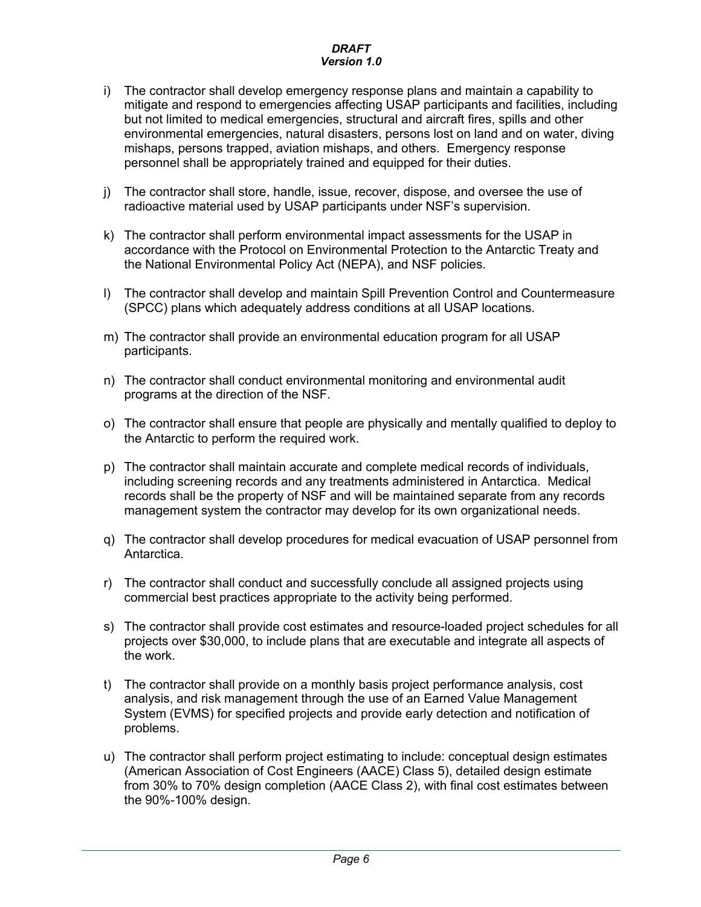- i) The contractor shall develop emergency response plans and maintain a capability to mitigate and respond to emergencies affecting USAP participants and facilities, including but not limited to medical emergencies, structural and aircraft fires, spills and other environmental emergencies, natural disasters, persons lost on land and on water, diving mishaps, persons trapped, aviation mishaps, and others. Emergency response personnel shall be appropriately trained and equipped for their duties.
- j) The contractor shall store, handle, issue, recover, dispose, and oversee the use of radioactive material used by USAP participants under NSF's supervision.
- k) The contractor shall perform environmental impact assessments for the USAP in accordance with the Protocol on Environmental Protection to the Antarctic Treaty and the National Environmental Policy Act (NEPA), and NSF policies.
- l) The contractor shall develop and maintain Spill Prevention Control and Countermeasure (SPCC) plans which adequately address conditions at all USAP locations.
- m) The contractor shall provide an environmental education program for all USAP participants.
- n) The contractor shall conduct environmental monitoring and environmental audit programs at the direction of the NSF.
- o) The contractor shall ensure that people are physically and mentally qualified to deploy to the Antarctic to perform the required work.
- p) The contractor shall maintain accurate and complete medical records of individuals, including screening records and any treatments administered in Antarctica. Medical records shall be the property of NSF and will be maintained separate from any records management system the contractor may develop for its own organizational needs.
- q) The contractor shall develop procedures for medical evacuation of USAP personnel from Antarctica.
- r) The contractor shall conduct and successfully conclude all assigned projects using commercial best practices appropriate to the activity being performed.
- s) The contractor shall provide cost estimates and resource-loaded project schedules for all projects over \$30,000, to include plans that are executable and integrate all aspects of the work.
- t) The contractor shall provide on a monthly basis project performance analysis, cost analysis, and risk management through the use of an Earned Value Management System (EVMS) for specified projects and provide early detection and notification of problems.
- u) The contractor shall perform project estimating to include: conceptual design estimates (American Association of Cost Engineers (AACE) Class 5), detailed design estimate from 30% to 70% design completion (AACE Class 2), with final cost estimates between the 90%-100% design.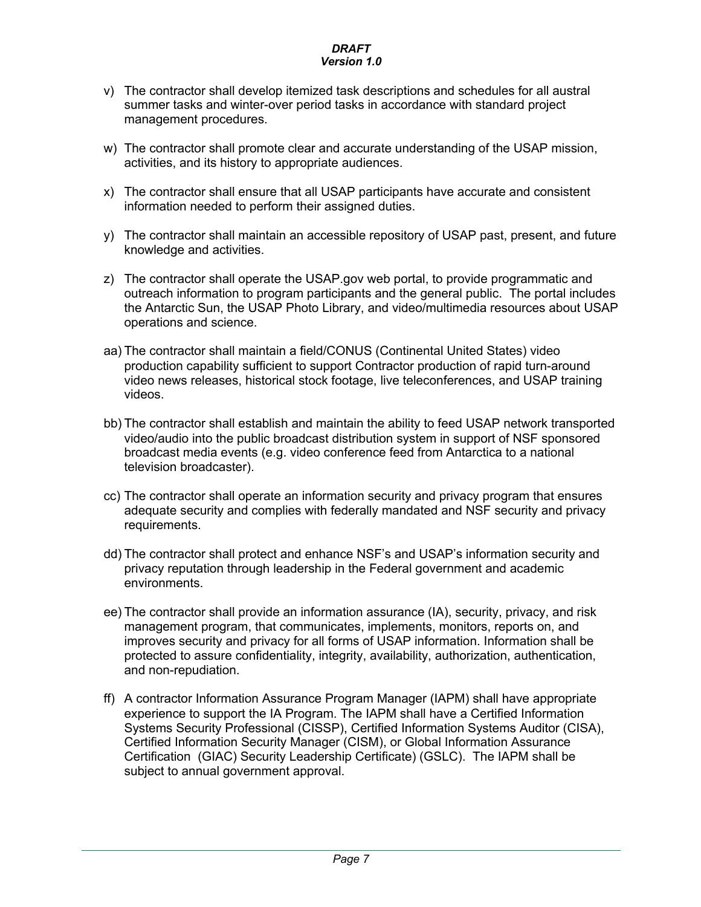- v) The contractor shall develop itemized task descriptions and schedules for all austral summer tasks and winter-over period tasks in accordance with standard project management procedures.
- w) The contractor shall promote clear and accurate understanding of the USAP mission, activities, and its history to appropriate audiences.
- x) The contractor shall ensure that all USAP participants have accurate and consistent information needed to perform their assigned duties.
- y) The contractor shall maintain an accessible repository of USAP past, present, and future knowledge and activities.
- z) The contractor shall operate the USAP.gov web portal, to provide programmatic and outreach information to program participants and the general public. The portal includes the Antarctic Sun, the USAP Photo Library, and video/multimedia resources about USAP operations and science.
- aa) The contractor shall maintain a field/CONUS (Continental United States) video production capability sufficient to support Contractor production of rapid turn-around video news releases, historical stock footage, live teleconferences, and USAP training videos.
- bb) The contractor shall establish and maintain the ability to feed USAP network transported video/audio into the public broadcast distribution system in support of NSF sponsored broadcast media events (e.g. video conference feed from Antarctica to a national television broadcaster).
- cc) The contractor shall operate an information security and privacy program that ensures adequate security and complies with federally mandated and NSF security and privacy requirements.
- dd) The contractor shall protect and enhance NSF's and USAP's information security and privacy reputation through leadership in the Federal government and academic environments.
- ee) The contractor shall provide an information assurance (IA), security, privacy, and risk management program, that communicates, implements, monitors, reports on, and improves security and privacy for all forms of USAP information. Information shall be protected to assure confidentiality, integrity, availability, authorization, authentication, and non-repudiation.
- ff) A contractor Information Assurance Program Manager (IAPM) shall have appropriate experience to support the IA Program. The IAPM shall have a Certified Information Systems Security Professional (CISSP), Certified Information Systems Auditor (CISA), Certified Information Security Manager (CISM), or Global Information Assurance Certification (GIAC) Security Leadership Certificate) (GSLC). The IAPM shall be subject to annual government approval.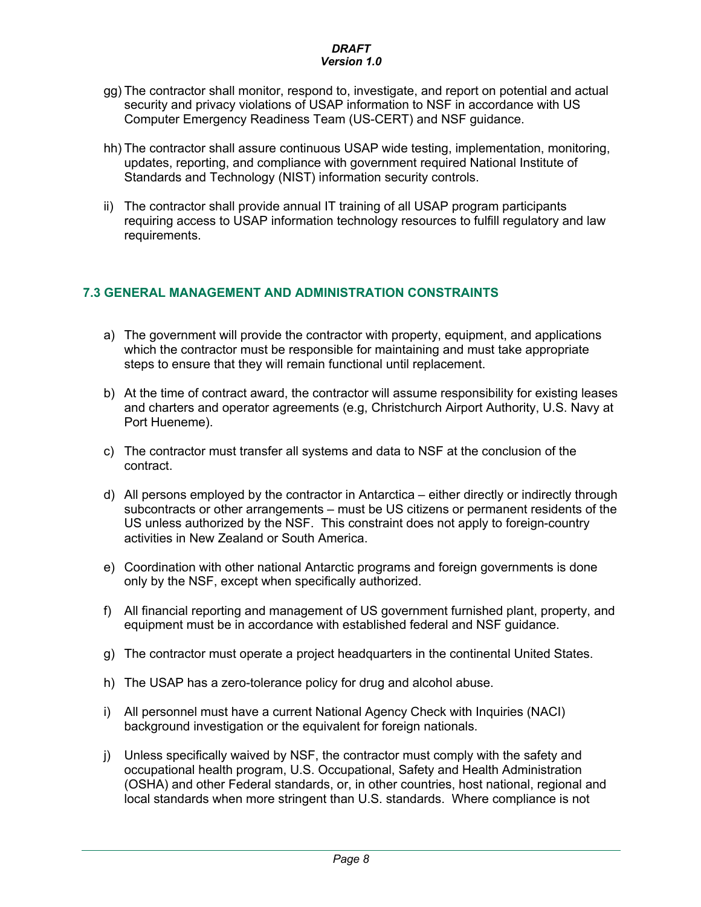- gg) The contractor shall monitor, respond to, investigate, and report on potential and actual security and privacy violations of USAP information to NSF in accordance with US Computer Emergency Readiness Team (US-CERT) and NSF guidance.
- hh) The contractor shall assure continuous USAP wide testing, implementation, monitoring, updates, reporting, and compliance with government required National Institute of Standards and Technology (NIST) information security controls.
- ii) The contractor shall provide annual IT training of all USAP program participants requiring access to USAP information technology resources to fulfill regulatory and law requirements.

### **7.3 GENERAL MANAGEMENT AND ADMINISTRATION CONSTRAINTS**

- a) The government will provide the contractor with property, equipment, and applications which the contractor must be responsible for maintaining and must take appropriate steps to ensure that they will remain functional until replacement.
- b) At the time of contract award, the contractor will assume responsibility for existing leases and charters and operator agreements (e.g, Christchurch Airport Authority, U.S. Navy at Port Hueneme).
- c) The contractor must transfer all systems and data to NSF at the conclusion of the contract.
- d) All persons employed by the contractor in Antarctica either directly or indirectly through subcontracts or other arrangements – must be US citizens or permanent residents of the US unless authorized by the NSF. This constraint does not apply to foreign-country activities in New Zealand or South America.
- e) Coordination with other national Antarctic programs and foreign governments is done only by the NSF, except when specifically authorized.
- f) All financial reporting and management of US government furnished plant, property, and equipment must be in accordance with established federal and NSF guidance.
- g) The contractor must operate a project headquarters in the continental United States.
- h) The USAP has a zero-tolerance policy for drug and alcohol abuse.
- i) All personnel must have a current National Agency Check with Inquiries (NACI) background investigation or the equivalent for foreign nationals.
- j) Unless specifically waived by NSF, the contractor must comply with the safety and occupational health program, U.S. Occupational, Safety and Health Administration (OSHA) and other Federal standards, or, in other countries, host national, regional and local standards when more stringent than U.S. standards. Where compliance is not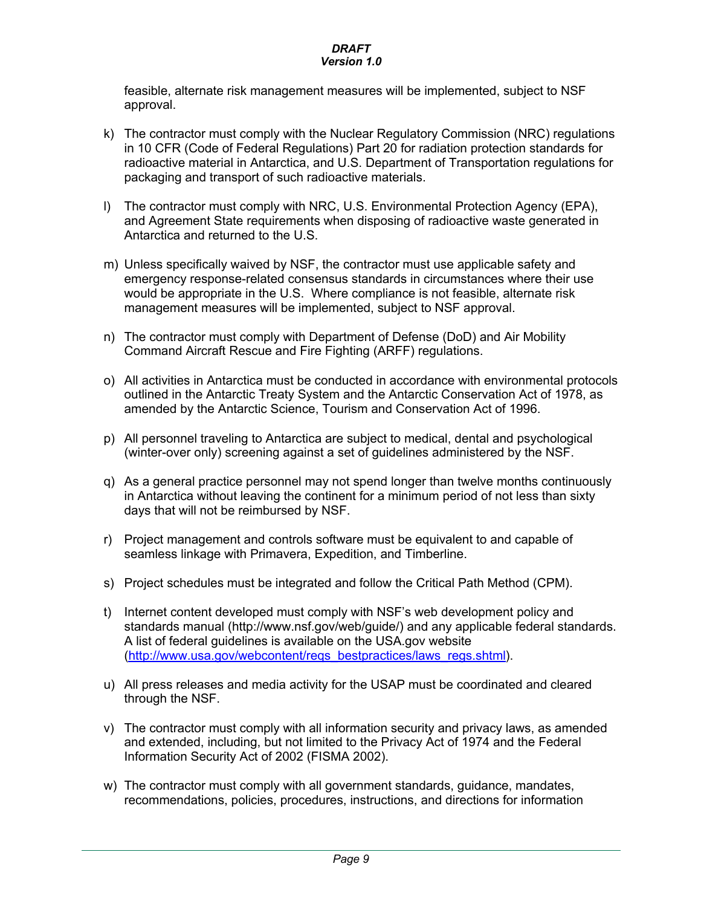feasible, alternate risk management measures will be implemented, subject to NSF approval.

- k) The contractor must comply with the Nuclear Regulatory Commission (NRC) regulations in 10 CFR (Code of Federal Regulations) Part 20 for radiation protection standards for radioactive material in Antarctica, and U.S. Department of Transportation regulations for packaging and transport of such radioactive materials.
- l) The contractor must comply with NRC, U.S. Environmental Protection Agency (EPA), and Agreement State requirements when disposing of radioactive waste generated in Antarctica and returned to the U.S.
- m) Unless specifically waived by NSF, the contractor must use applicable safety and emergency response-related consensus standards in circumstances where their use would be appropriate in the U.S. Where compliance is not feasible, alternate risk management measures will be implemented, subject to NSF approval.
- n) The contractor must comply with Department of Defense (DoD) and Air Mobility Command Aircraft Rescue and Fire Fighting (ARFF) regulations.
- o) All activities in Antarctica must be conducted in accordance with environmental protocols outlined in the Antarctic Treaty System and the Antarctic Conservation Act of 1978, as amended by the Antarctic Science, Tourism and Conservation Act of 1996.
- p) All personnel traveling to Antarctica are subject to medical, dental and psychological (winter-over only) screening against a set of guidelines administered by the NSF.
- q) As a general practice personnel may not spend longer than twelve months continuously in Antarctica without leaving the continent for a minimum period of not less than sixty days that will not be reimbursed by NSF.
- r) Project management and controls software must be equivalent to and capable of seamless linkage with Primavera, Expedition, and Timberline.
- s) Project schedules must be integrated and follow the Critical Path Method (CPM).
- t) Internet content developed must comply with NSF's web development policy and standards manual (http://www.nsf.gov/web/guide/) and any applicable federal standards. A list of federal guidelines is available on the USA.gov website (http://www.usa.gov/webcontent/reqs\_bestpractices/laws\_regs.shtml).
- u) All press releases and media activity for the USAP must be coordinated and cleared through the NSF.
- v) The contractor must comply with all information security and privacy laws, as amended and extended, including, but not limited to the Privacy Act of 1974 and the Federal Information Security Act of 2002 (FISMA 2002).
- w) The contractor must comply with all government standards, guidance, mandates, recommendations, policies, procedures, instructions, and directions for information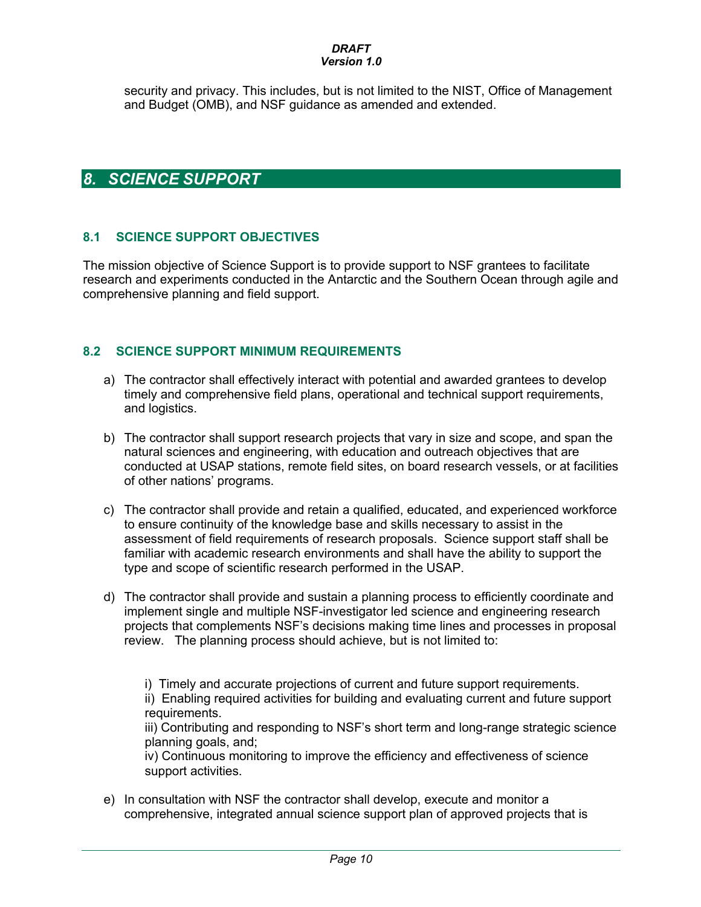# *DRAFT*

### *Version 1.0*

security and privacy. This includes, but is not limited to the NIST, Office of Management and Budget (OMB), and NSF guidance as amended and extended.

## *8. SCIENCE SUPPORT*

### **8.1 SCIENCE SUPPORT OBJECTIVES**

The mission objective of Science Support is to provide support to NSF grantees to facilitate research and experiments conducted in the Antarctic and the Southern Ocean through agile and comprehensive planning and field support.

### **8.2 SCIENCE SUPPORT MINIMUM REQUIREMENTS**

- a) The contractor shall effectively interact with potential and awarded grantees to develop timely and comprehensive field plans, operational and technical support requirements, and logistics.
- b) The contractor shall support research projects that vary in size and scope, and span the natural sciences and engineering, with education and outreach objectives that are conducted at USAP stations, remote field sites, on board research vessels, or at facilities of other nations' programs.
- c) The contractor shall provide and retain a qualified, educated, and experienced workforce to ensure continuity of the knowledge base and skills necessary to assist in the assessment of field requirements of research proposals. Science support staff shall be familiar with academic research environments and shall have the ability to support the type and scope of scientific research performed in the USAP.
- d) The contractor shall provide and sustain a planning process to efficiently coordinate and implement single and multiple NSF-investigator led science and engineering research projects that complements NSF's decisions making time lines and processes in proposal review. The planning process should achieve, but is not limited to:

i) Timely and accurate projections of current and future support requirements. ii) Enabling required activities for building and evaluating current and future support requirements.

iii) Contributing and responding to NSF's short term and long-range strategic science planning goals, and;

iv) Continuous monitoring to improve the efficiency and effectiveness of science support activities.

e) In consultation with NSF the contractor shall develop, execute and monitor a comprehensive, integrated annual science support plan of approved projects that is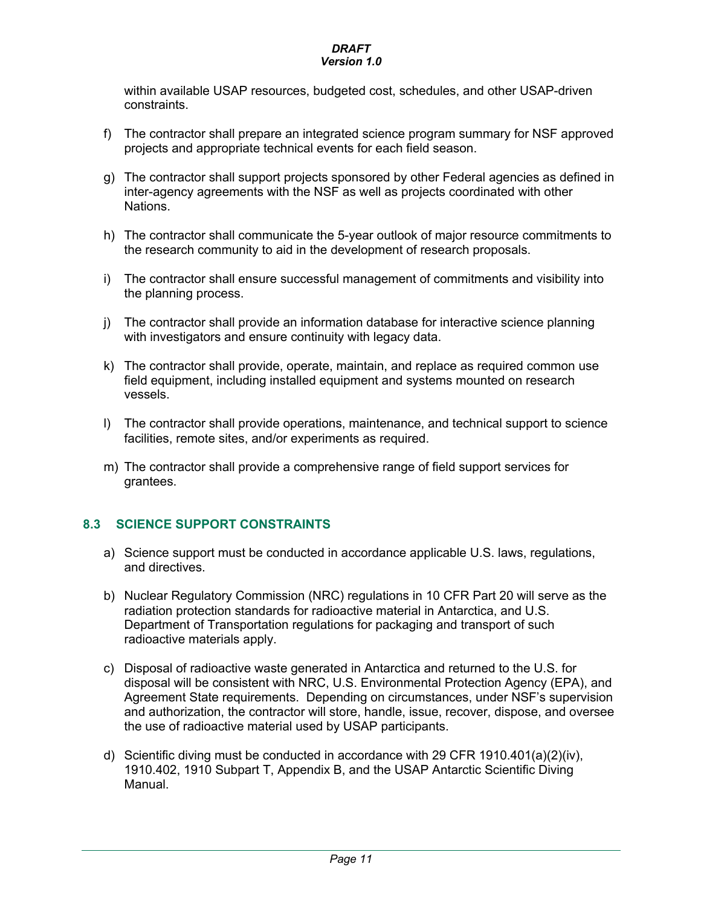within available USAP resources, budgeted cost, schedules, and other USAP-driven constraints.

- f) The contractor shall prepare an integrated science program summary for NSF approved projects and appropriate technical events for each field season.
- g) The contractor shall support projects sponsored by other Federal agencies as defined in inter-agency agreements with the NSF as well as projects coordinated with other Nations.
- h) The contractor shall communicate the 5-year outlook of major resource commitments to the research community to aid in the development of research proposals.
- i) The contractor shall ensure successful management of commitments and visibility into the planning process.
- j) The contractor shall provide an information database for interactive science planning with investigators and ensure continuity with legacy data.
- k) The contractor shall provide, operate, maintain, and replace as required common use field equipment, including installed equipment and systems mounted on research vessels.
- l) The contractor shall provide operations, maintenance, and technical support to science facilities, remote sites, and/or experiments as required.
- m) The contractor shall provide a comprehensive range of field support services for grantees.

### **8.3 SCIENCE SUPPORT CONSTRAINTS**

- a) Science support must be conducted in accordance applicable U.S. laws, regulations, and directives.
- b) Nuclear Regulatory Commission (NRC) regulations in 10 CFR Part 20 will serve as the radiation protection standards for radioactive material in Antarctica, and U.S. Department of Transportation regulations for packaging and transport of such radioactive materials apply.
- c) Disposal of radioactive waste generated in Antarctica and returned to the U.S. for disposal will be consistent with NRC, U.S. Environmental Protection Agency (EPA), and Agreement State requirements. Depending on circumstances, under NSF's supervision and authorization, the contractor will store, handle, issue, recover, dispose, and oversee the use of radioactive material used by USAP participants.
- d) Scientific diving must be conducted in accordance with 29 CFR 1910.401(a)(2)(iv), 1910.402, 1910 Subpart T, Appendix B, and the USAP Antarctic Scientific Diving Manual.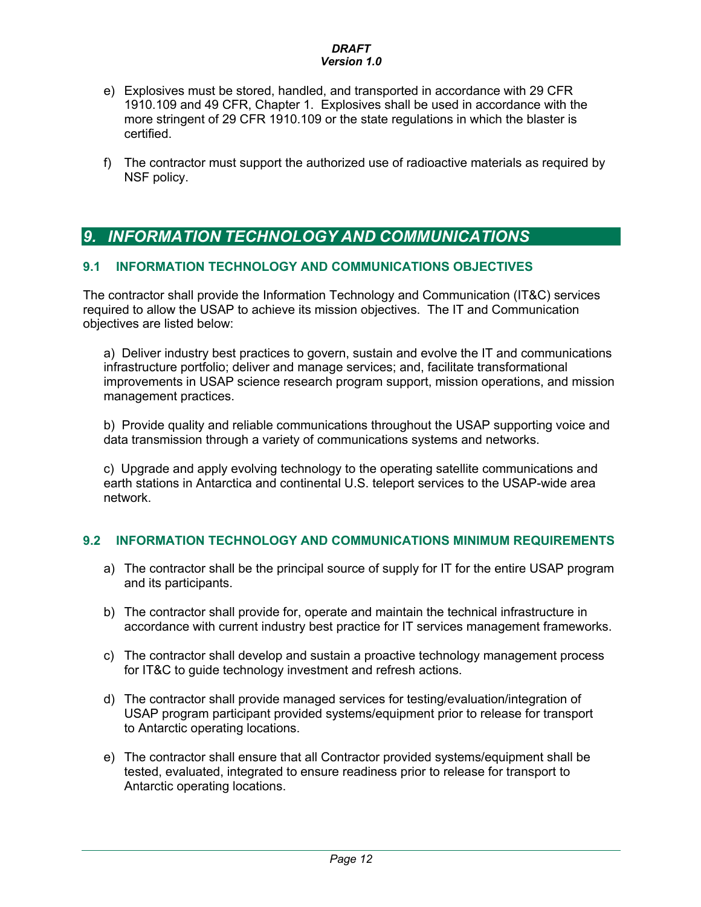- e) Explosives must be stored, handled, and transported in accordance with 29 CFR 1910.109 and 49 CFR, Chapter 1. Explosives shall be used in accordance with the more stringent of 29 CFR 1910.109 or the state regulations in which the blaster is certified.
- f) The contractor must support the authorized use of radioactive materials as required by NSF policy.

## *9. INFORMATION TECHNOLOGY AND COMMUNICATIONS*

### **9.1 INFORMATION TECHNOLOGY AND COMMUNICATIONS OBJECTIVES**

The contractor shall provide the Information Technology and Communication (IT&C) services required to allow the USAP to achieve its mission objectives. The IT and Communication objectives are listed below:

a) Deliver industry best practices to govern, sustain and evolve the IT and communications infrastructure portfolio; deliver and manage services; and, facilitate transformational improvements in USAP science research program support, mission operations, and mission management practices.

b) Provide quality and reliable communications throughout the USAP supporting voice and data transmission through a variety of communications systems and networks.

c) Upgrade and apply evolving technology to the operating satellite communications and earth stations in Antarctica and continental U.S. teleport services to the USAP-wide area network.

### **9.2 INFORMATION TECHNOLOGY AND COMMUNICATIONS MINIMUM REQUIREMENTS**

- a) The contractor shall be the principal source of supply for IT for the entire USAP program and its participants.
- b) The contractor shall provide for, operate and maintain the technical infrastructure in accordance with current industry best practice for IT services management frameworks.
- c) The contractor shall develop and sustain a proactive technology management process for IT&C to guide technology investment and refresh actions.
- d) The contractor shall provide managed services for testing/evaluation/integration of USAP program participant provided systems/equipment prior to release for transport to Antarctic operating locations.
- e) The contractor shall ensure that all Contractor provided systems/equipment shall be tested, evaluated, integrated to ensure readiness prior to release for transport to Antarctic operating locations.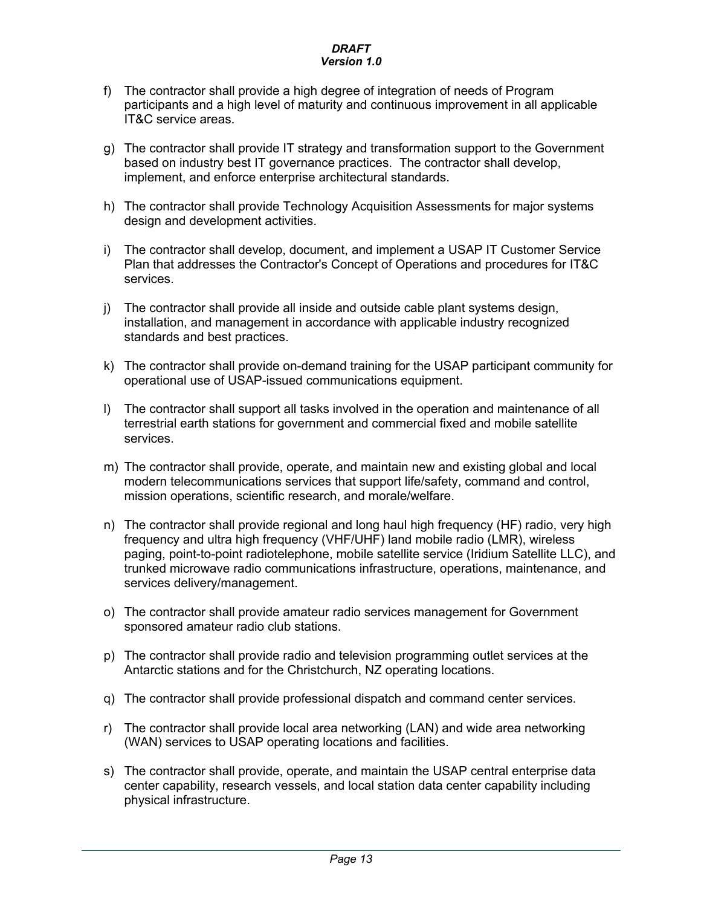- f) The contractor shall provide a high degree of integration of needs of Program participants and a high level of maturity and continuous improvement in all applicable IT&C service areas.
- g) The contractor shall provide IT strategy and transformation support to the Government based on industry best IT governance practices. The contractor shall develop, implement, and enforce enterprise architectural standards.
- h) The contractor shall provide Technology Acquisition Assessments for major systems design and development activities.
- i) The contractor shall develop, document, and implement a USAP IT Customer Service Plan that addresses the Contractor's Concept of Operations and procedures for IT&C services.
- j) The contractor shall provide all inside and outside cable plant systems design, installation, and management in accordance with applicable industry recognized standards and best practices.
- k) The contractor shall provide on-demand training for the USAP participant community for operational use of USAP-issued communications equipment.
- l) The contractor shall support all tasks involved in the operation and maintenance of all terrestrial earth stations for government and commercial fixed and mobile satellite services.
- m) The contractor shall provide, operate, and maintain new and existing global and local modern telecommunications services that support life/safety, command and control, mission operations, scientific research, and morale/welfare.
- n) The contractor shall provide regional and long haul high frequency (HF) radio, very high frequency and ultra high frequency (VHF/UHF) land mobile radio (LMR), wireless paging, point-to-point radiotelephone, mobile satellite service (Iridium Satellite LLC), and trunked microwave radio communications infrastructure, operations, maintenance, and services delivery/management.
- o) The contractor shall provide amateur radio services management for Government sponsored amateur radio club stations.
- p) The contractor shall provide radio and television programming outlet services at the Antarctic stations and for the Christchurch, NZ operating locations.
- q) The contractor shall provide professional dispatch and command center services.
- r) The contractor shall provide local area networking (LAN) and wide area networking (WAN) services to USAP operating locations and facilities.
- s) The contractor shall provide, operate, and maintain the USAP central enterprise data center capability, research vessels, and local station data center capability including physical infrastructure.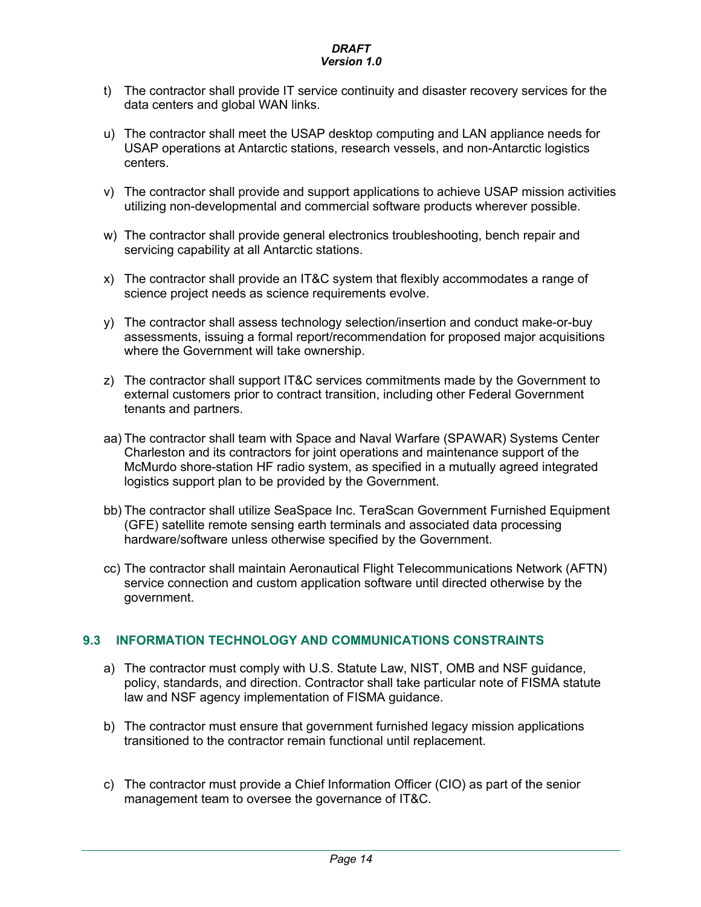- t) The contractor shall provide IT service continuity and disaster recovery services for the data centers and global WAN links.
- u) The contractor shall meet the USAP desktop computing and LAN appliance needs for USAP operations at Antarctic stations, research vessels, and non-Antarctic logistics centers.
- v) The contractor shall provide and support applications to achieve USAP mission activities utilizing non-developmental and commercial software products wherever possible.
- w) The contractor shall provide general electronics troubleshooting, bench repair and servicing capability at all Antarctic stations.
- x) The contractor shall provide an IT&C system that flexibly accommodates a range of science project needs as science requirements evolve.
- y) The contractor shall assess technology selection/insertion and conduct make-or-buy assessments, issuing a formal report/recommendation for proposed major acquisitions where the Government will take ownership.
- z) The contractor shall support IT&C services commitments made by the Government to external customers prior to contract transition, including other Federal Government tenants and partners.
- aa) The contractor shall team with Space and Naval Warfare (SPAWAR) Systems Center Charleston and its contractors for joint operations and maintenance support of the McMurdo shore-station HF radio system, as specified in a mutually agreed integrated logistics support plan to be provided by the Government.
- bb) The contractor shall utilize SeaSpace Inc. TeraScan Government Furnished Equipment (GFE) satellite remote sensing earth terminals and associated data processing hardware/software unless otherwise specified by the Government.
- cc) The contractor shall maintain Aeronautical Flight Telecommunications Network (AFTN) service connection and custom application software until directed otherwise by the government.

### **9.3 INFORMATION TECHNOLOGY AND COMMUNICATIONS CONSTRAINTS**

- a) The contractor must comply with U.S. Statute Law, NIST, OMB and NSF guidance, policy, standards, and direction. Contractor shall take particular note of FISMA statute law and NSF agency implementation of FISMA guidance.
- b) The contractor must ensure that government furnished legacy mission applications transitioned to the contractor remain functional until replacement.
- c) The contractor must provide a Chief Information Officer (CIO) as part of the senior management team to oversee the governance of IT&C.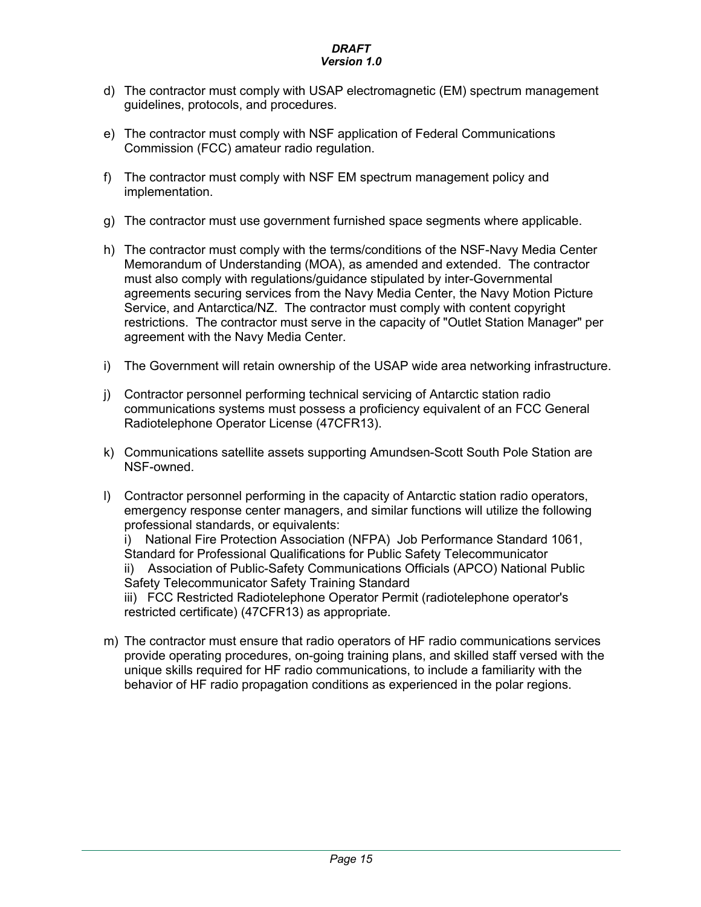- d) The contractor must comply with USAP electromagnetic (EM) spectrum management guidelines, protocols, and procedures.
- e) The contractor must comply with NSF application of Federal Communications Commission (FCC) amateur radio regulation.
- f) The contractor must comply with NSF EM spectrum management policy and implementation.
- g) The contractor must use government furnished space segments where applicable.
- h) The contractor must comply with the terms/conditions of the NSF-Navy Media Center Memorandum of Understanding (MOA), as amended and extended. The contractor must also comply with regulations/guidance stipulated by inter-Governmental agreements securing services from the Navy Media Center, the Navy Motion Picture Service, and Antarctica/NZ. The contractor must comply with content copyright restrictions. The contractor must serve in the capacity of "Outlet Station Manager" per agreement with the Navy Media Center.
- i) The Government will retain ownership of the USAP wide area networking infrastructure.
- j) Contractor personnel performing technical servicing of Antarctic station radio communications systems must possess a proficiency equivalent of an FCC General Radiotelephone Operator License (47CFR13).
- k) Communications satellite assets supporting Amundsen-Scott South Pole Station are NSF-owned.
- l) Contractor personnel performing in the capacity of Antarctic station radio operators, emergency response center managers, and similar functions will utilize the following professional standards, or equivalents:

i) National Fire Protection Association (NFPA) Job Performance Standard 1061, Standard for Professional Qualifications for Public Safety Telecommunicator ii) Association of Public-Safety Communications Officials (APCO) National Public Safety Telecommunicator Safety Training Standard

iii) FCC Restricted Radiotelephone Operator Permit (radiotelephone operator's restricted certificate) (47CFR13) as appropriate.

m) The contractor must ensure that radio operators of HF radio communications services provide operating procedures, on-going training plans, and skilled staff versed with the unique skills required for HF radio communications, to include a familiarity with the behavior of HF radio propagation conditions as experienced in the polar regions.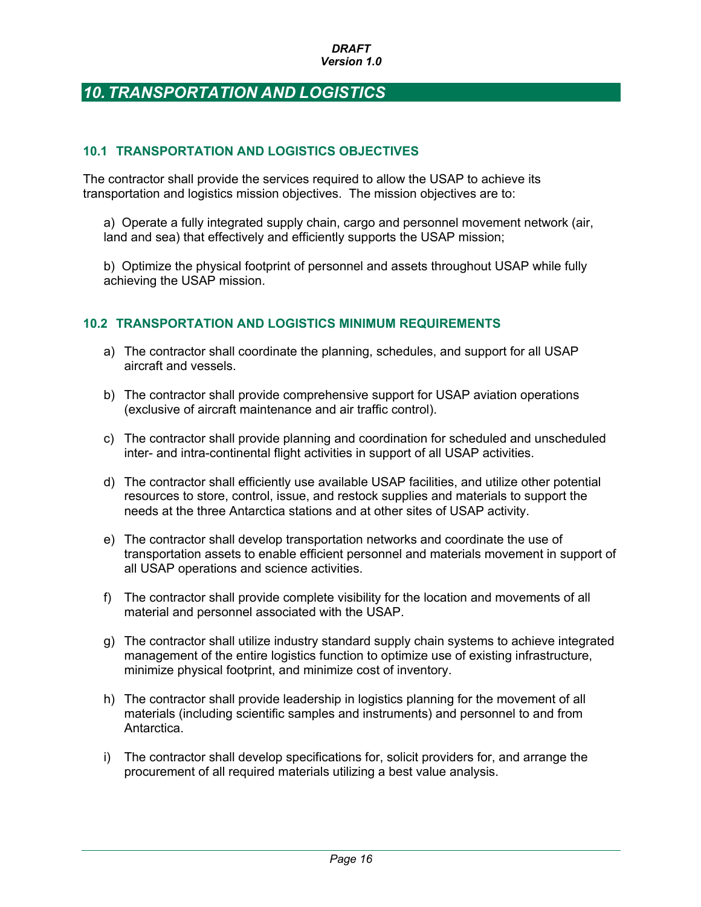## *10. TRANSPORTATION AND LOGISTICS*

### **10.1 TRANSPORTATION AND LOGISTICS OBJECTIVES**

The contractor shall provide the services required to allow the USAP to achieve its transportation and logistics mission objectives. The mission objectives are to:

a) Operate a fully integrated supply chain, cargo and personnel movement network (air, land and sea) that effectively and efficiently supports the USAP mission;

b) Optimize the physical footprint of personnel and assets throughout USAP while fully achieving the USAP mission.

### **10.2 TRANSPORTATION AND LOGISTICS MINIMUM REQUIREMENTS**

- a) The contractor shall coordinate the planning, schedules, and support for all USAP aircraft and vessels.
- b) The contractor shall provide comprehensive support for USAP aviation operations (exclusive of aircraft maintenance and air traffic control).
- c) The contractor shall provide planning and coordination for scheduled and unscheduled inter- and intra-continental flight activities in support of all USAP activities.
- d) The contractor shall efficiently use available USAP facilities, and utilize other potential resources to store, control, issue, and restock supplies and materials to support the needs at the three Antarctica stations and at other sites of USAP activity.
- e) The contractor shall develop transportation networks and coordinate the use of transportation assets to enable efficient personnel and materials movement in support of all USAP operations and science activities.
- f) The contractor shall provide complete visibility for the location and movements of all material and personnel associated with the USAP.
- g) The contractor shall utilize industry standard supply chain systems to achieve integrated management of the entire logistics function to optimize use of existing infrastructure, minimize physical footprint, and minimize cost of inventory.
- h) The contractor shall provide leadership in logistics planning for the movement of all materials (including scientific samples and instruments) and personnel to and from Antarctica.
- i) The contractor shall develop specifications for, solicit providers for, and arrange the procurement of all required materials utilizing a best value analysis.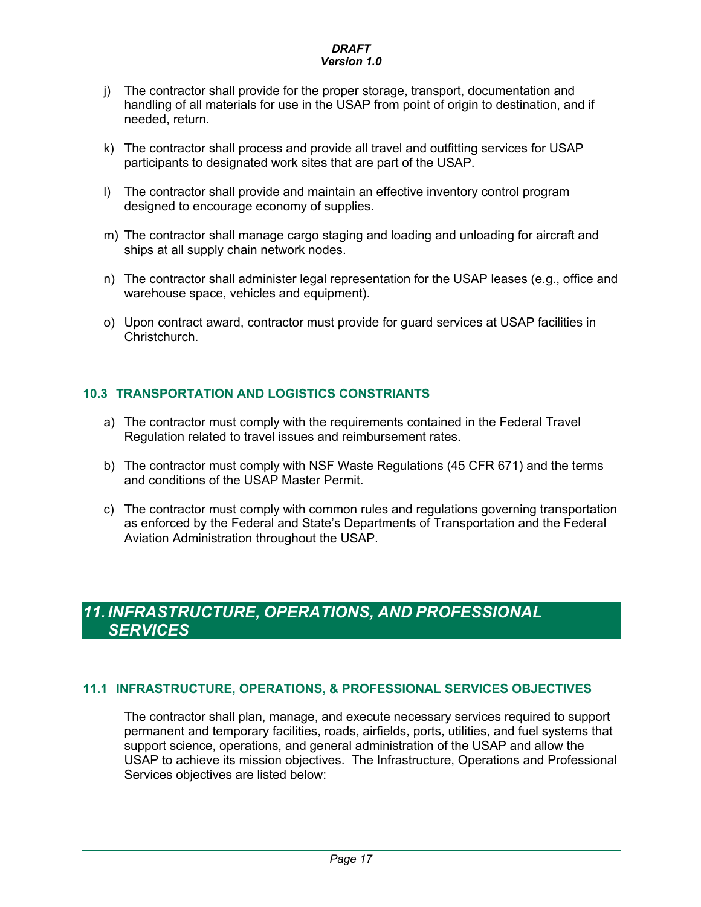- j) The contractor shall provide for the proper storage, transport, documentation and handling of all materials for use in the USAP from point of origin to destination, and if needed, return.
- k) The contractor shall process and provide all travel and outfitting services for USAP participants to designated work sites that are part of the USAP.
- l) The contractor shall provide and maintain an effective inventory control program designed to encourage economy of supplies.
- m) The contractor shall manage cargo staging and loading and unloading for aircraft and ships at all supply chain network nodes.
- n) The contractor shall administer legal representation for the USAP leases (e.g., office and warehouse space, vehicles and equipment).
- o) Upon contract award, contractor must provide for guard services at USAP facilities in **Christchurch.**

### **10.3 TRANSPORTATION AND LOGISTICS CONSTRIANTS**

- a) The contractor must comply with the requirements contained in the Federal Travel Regulation related to travel issues and reimbursement rates.
- b) The contractor must comply with NSF Waste Regulations (45 CFR 671) and the terms and conditions of the USAP Master Permit.
- c) The contractor must comply with common rules and regulations governing transportation as enforced by the Federal and State's Departments of Transportation and the Federal Aviation Administration throughout the USAP.

## *11. INFRASTRUCTURE, OPERATIONS, AND PROFESSIONAL SERVICES*

### **11.1 INFRASTRUCTURE, OPERATIONS, & PROFESSIONAL SERVICES OBJECTIVES**

The contractor shall plan, manage, and execute necessary services required to support permanent and temporary facilities, roads, airfields, ports, utilities, and fuel systems that support science, operations, and general administration of the USAP and allow the USAP to achieve its mission objectives. The Infrastructure, Operations and Professional Services objectives are listed below: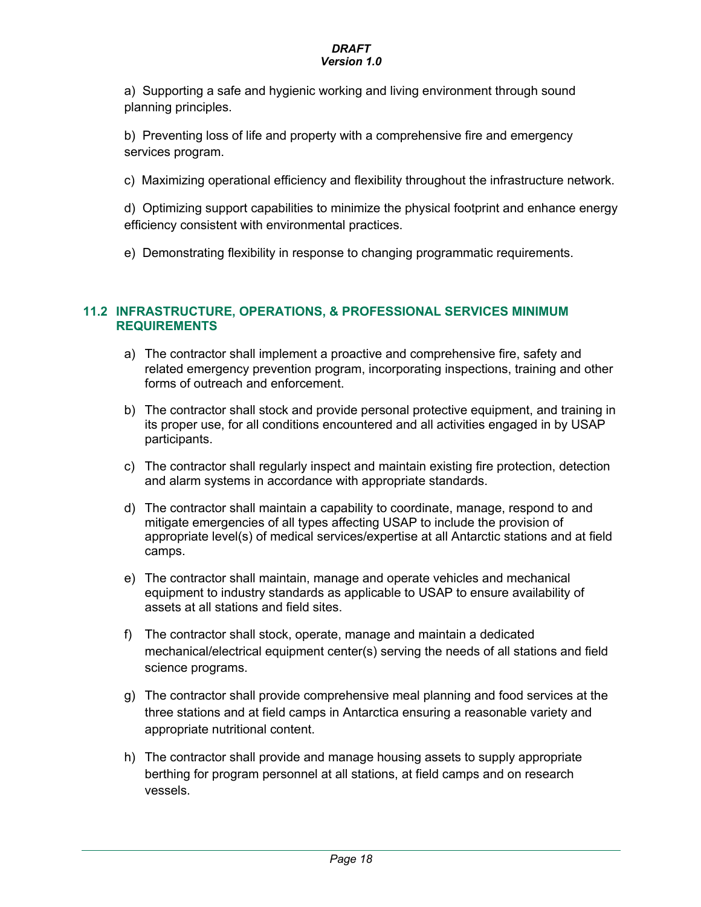a) Supporting a safe and hygienic working and living environment through sound planning principles.

b) Preventing loss of life and property with a comprehensive fire and emergency services program.

c) Maximizing operational efficiency and flexibility throughout the infrastructure network.

d) Optimizing support capabilities to minimize the physical footprint and enhance energy efficiency consistent with environmental practices.

e) Demonstrating flexibility in response to changing programmatic requirements.

### **11.2 INFRASTRUCTURE, OPERATIONS, & PROFESSIONAL SERVICES MINIMUM REQUIREMENTS**

- a) The contractor shall implement a proactive and comprehensive fire, safety and related emergency prevention program, incorporating inspections, training and other forms of outreach and enforcement.
- b) The contractor shall stock and provide personal protective equipment, and training in its proper use, for all conditions encountered and all activities engaged in by USAP participants.
- c) The contractor shall regularly inspect and maintain existing fire protection, detection and alarm systems in accordance with appropriate standards.
- d) The contractor shall maintain a capability to coordinate, manage, respond to and mitigate emergencies of all types affecting USAP to include the provision of appropriate level(s) of medical services/expertise at all Antarctic stations and at field camps.
- e) The contractor shall maintain, manage and operate vehicles and mechanical equipment to industry standards as applicable to USAP to ensure availability of assets at all stations and field sites.
- f) The contractor shall stock, operate, manage and maintain a dedicated mechanical/electrical equipment center(s) serving the needs of all stations and field science programs.
- g) The contractor shall provide comprehensive meal planning and food services at the three stations and at field camps in Antarctica ensuring a reasonable variety and appropriate nutritional content.
- h) The contractor shall provide and manage housing assets to supply appropriate berthing for program personnel at all stations, at field camps and on research vessels.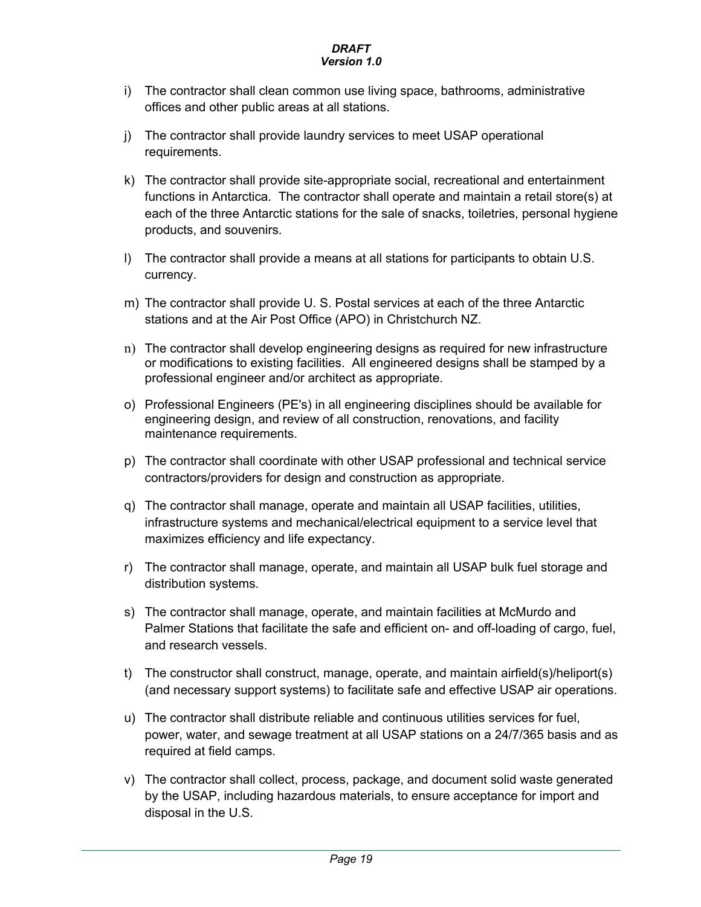- i) The contractor shall clean common use living space, bathrooms, administrative offices and other public areas at all stations.
- j) The contractor shall provide laundry services to meet USAP operational requirements.
- k) The contractor shall provide site-appropriate social, recreational and entertainment functions in Antarctica. The contractor shall operate and maintain a retail store(s) at each of the three Antarctic stations for the sale of snacks, toiletries, personal hygiene products, and souvenirs.
- l) The contractor shall provide a means at all stations for participants to obtain U.S. currency.
- m) The contractor shall provide U. S. Postal services at each of the three Antarctic stations and at the Air Post Office (APO) in Christchurch NZ.
- n) The contractor shall develop engineering designs as required for new infrastructure or modifications to existing facilities. All engineered designs shall be stamped by a professional engineer and/or architect as appropriate.
- o) Professional Engineers (PE's) in all engineering disciplines should be available for engineering design, and review of all construction, renovations, and facility maintenance requirements.
- p) The contractor shall coordinate with other USAP professional and technical service contractors/providers for design and construction as appropriate.
- q) The contractor shall manage, operate and maintain all USAP facilities, utilities, infrastructure systems and mechanical/electrical equipment to a service level that maximizes efficiency and life expectancy.
- r) The contractor shall manage, operate, and maintain all USAP bulk fuel storage and distribution systems.
- s) The contractor shall manage, operate, and maintain facilities at McMurdo and Palmer Stations that facilitate the safe and efficient on- and off-loading of cargo, fuel, and research vessels.
- t) The constructor shall construct, manage, operate, and maintain airfield(s)/heliport(s) (and necessary support systems) to facilitate safe and effective USAP air operations.
- u) The contractor shall distribute reliable and continuous utilities services for fuel, power, water, and sewage treatment at all USAP stations on a 24/7/365 basis and as required at field camps.
- v) The contractor shall collect, process, package, and document solid waste generated by the USAP, including hazardous materials, to ensure acceptance for import and disposal in the U.S.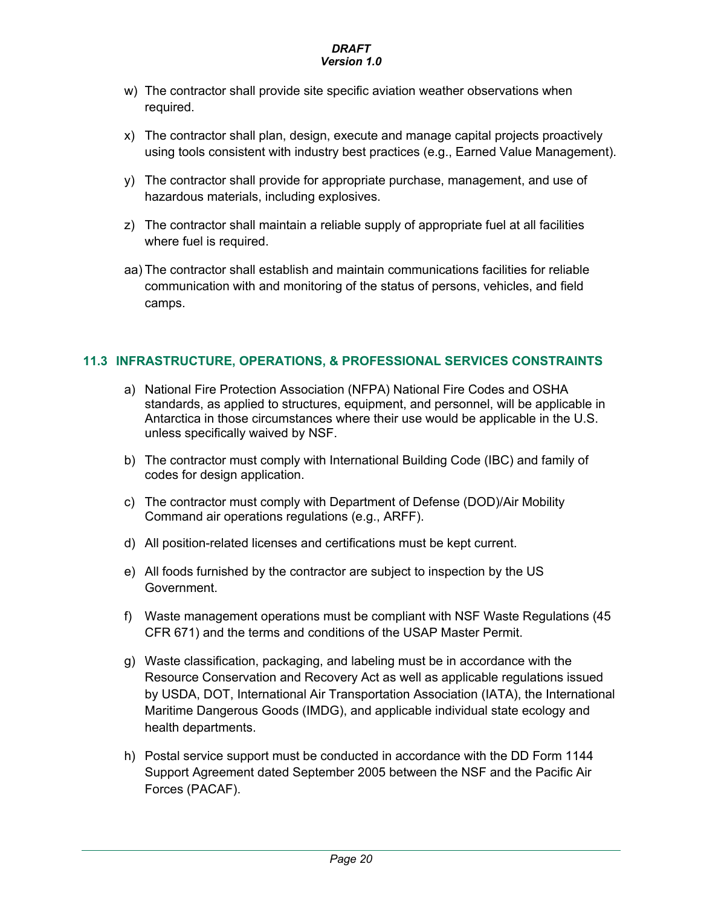- w) The contractor shall provide site specific aviation weather observations when required.
- x) The contractor shall plan, design, execute and manage capital projects proactively using tools consistent with industry best practices (e.g., Earned Value Management).
- y) The contractor shall provide for appropriate purchase, management, and use of hazardous materials, including explosives.
- z) The contractor shall maintain a reliable supply of appropriate fuel at all facilities where fuel is required.
- aa) The contractor shall establish and maintain communications facilities for reliable communication with and monitoring of the status of persons, vehicles, and field camps.

### **11.3 INFRASTRUCTURE, OPERATIONS, & PROFESSIONAL SERVICES CONSTRAINTS**

- a) National Fire Protection Association (NFPA) National Fire Codes and OSHA standards, as applied to structures, equipment, and personnel, will be applicable in Antarctica in those circumstances where their use would be applicable in the U.S. unless specifically waived by NSF.
- b) The contractor must comply with International Building Code (IBC) and family of codes for design application.
- c) The contractor must comply with Department of Defense (DOD)/Air Mobility Command air operations regulations (e.g., ARFF).
- d) All position-related licenses and certifications must be kept current.
- e) All foods furnished by the contractor are subject to inspection by the US Government.
- f) Waste management operations must be compliant with NSF Waste Regulations (45 CFR 671) and the terms and conditions of the USAP Master Permit.
- g) Waste classification, packaging, and labeling must be in accordance with the Resource Conservation and Recovery Act as well as applicable regulations issued by USDA, DOT, International Air Transportation Association (IATA), the International Maritime Dangerous Goods (IMDG), and applicable individual state ecology and health departments.
- h) Postal service support must be conducted in accordance with the DD Form 1144 Support Agreement dated September 2005 between the NSF and the Pacific Air Forces (PACAF).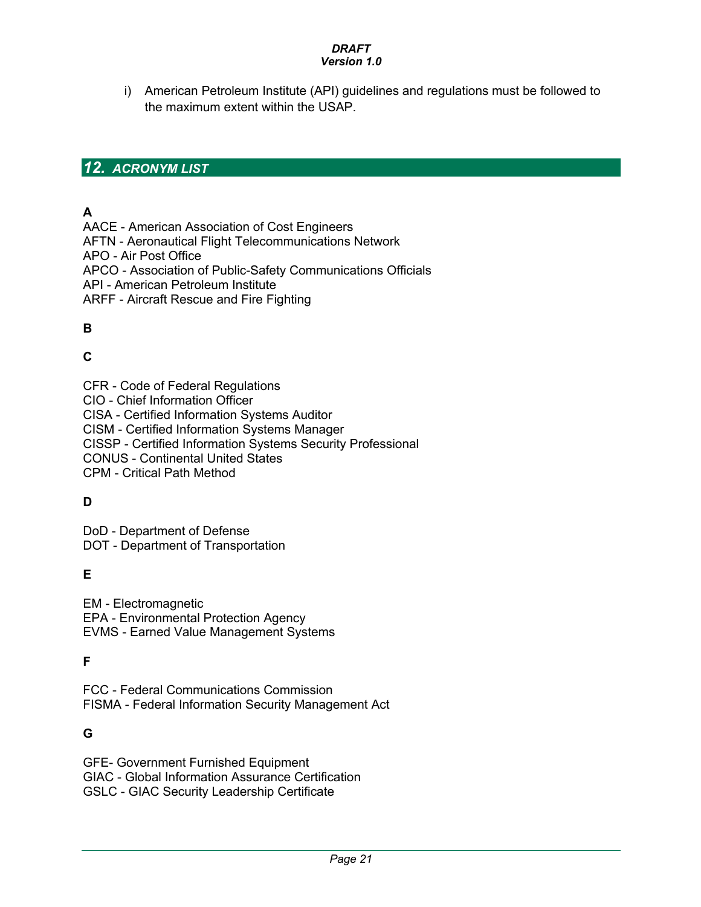i) American Petroleum Institute (API) guidelines and regulations must be followed to the maximum extent within the USAP.

## *12. ACRONYM LIST*

## **A**

AACE - American Association of Cost Engineers

AFTN - Aeronautical Flight Telecommunications Network

APO - Air Post Office

APCO - Association of Public-Safety Communications Officials

API - American Petroleum Institute

ARFF - Aircraft Rescue and Fire Fighting

## **B**

## **C**

CFR - Code of Federal Regulations CIO - Chief Information Officer CISA - Certified Information Systems Auditor CISM - Certified Information Systems Manager CISSP - Certified Information Systems Security Professional CONUS - Continental United States CPM - Critical Path Method

## **D**

DoD - Department of Defense DOT - Department of Transportation

## **E**

EM - Electromagnetic EPA - Environmental Protection Agency EVMS - Earned Value Management Systems

## **F**

FCC - Federal Communications Commission FISMA - Federal Information Security Management Act

## **G**

GFE- Government Furnished Equipment GIAC - Global Information Assurance Certification GSLC - GIAC Security Leadership Certificate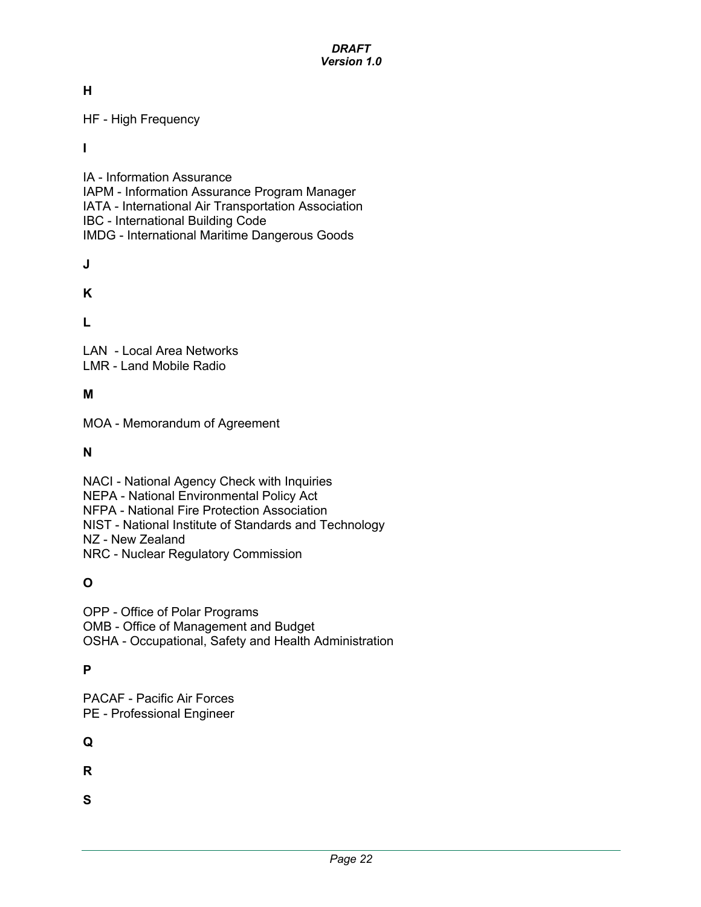**H**

HF - High Frequency

**I**

IA - Information Assurance IAPM - Information Assurance Program Manager IATA - International Air Transportation Association IBC - International Building Code IMDG - International Maritime Dangerous Goods

**J**

**K**

**L**

LAN - Local Area Networks LMR - Land Mobile Radio

## **M**

MOA - Memorandum of Agreement

**N**

NACI - National Agency Check with Inquiries NEPA - National Environmental Policy Act NFPA - National Fire Protection Association NIST - National Institute of Standards and Technology NZ - New Zealand NRC - Nuclear Regulatory Commission

## **O**

OPP - Office of Polar Programs OMB - Office of Management and Budget OSHA - Occupational, Safety and Health Administration

## **P**

PACAF - Pacific Air Forces PE - Professional Engineer

## **Q**

**R**

**S**